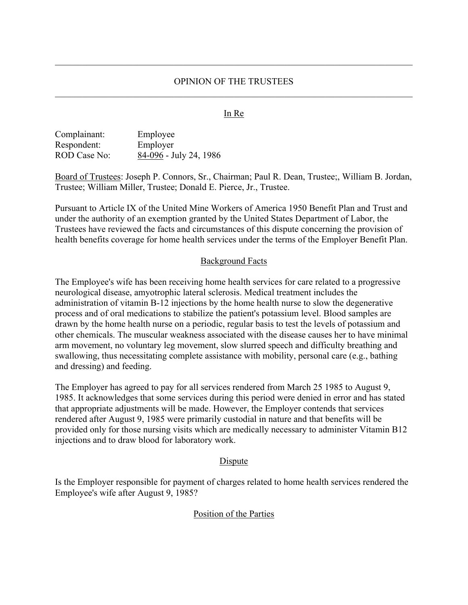## In Re

| Complainant:        | Employee               |
|---------------------|------------------------|
| Respondent:         | Employer               |
| <b>ROD</b> Case No: | 84-096 - July 24, 1986 |

Board of Trustees: Joseph P. Connors, Sr., Chairman; Paul R. Dean, Trustee;, William B. Jordan, Trustee; William Miller, Trustee; Donald E. Pierce, Jr., Trustee.

Pursuant to Article IX of the United Mine Workers of America 1950 Benefit Plan and Trust and under the authority of an exemption granted by the United States Department of Labor, the Trustees have reviewed the facts and circumstances of this dispute concerning the provision of health benefits coverage for home health services under the terms of the Employer Benefit Plan.

### Background Facts

The Employee's wife has been receiving home health services for care related to a progressive neurological disease, amyotrophic lateral sclerosis. Medical treatment includes the administration of vitamin B-12 injections by the home health nurse to slow the degenerative process and of oral medications to stabilize the patient's potassium level. Blood samples are drawn by the home health nurse on a periodic, regular basis to test the levels of potassium and other chemicals. The muscular weakness associated with the disease causes her to have minimal arm movement, no voluntary leg movement, slow slurred speech and difficulty breathing and swallowing, thus necessitating complete assistance with mobility, personal care (e.g., bathing and dressing) and feeding.

The Employer has agreed to pay for all services rendered from March 25 1985 to August 9, 1985. It acknowledges that some services during this period were denied in error and has stated that appropriate adjustments will be made. However, the Employer contends that services rendered after August 9, 1985 were primarily custodial in nature and that benefits will be provided only for those nursing visits which are medically necessary to administer Vitamin B12 injections and to draw blood for laboratory work.

### **D**ispute

Is the Employer responsible for payment of charges related to home health services rendered the Employee's wife after August 9, 1985?

### Position of the Parties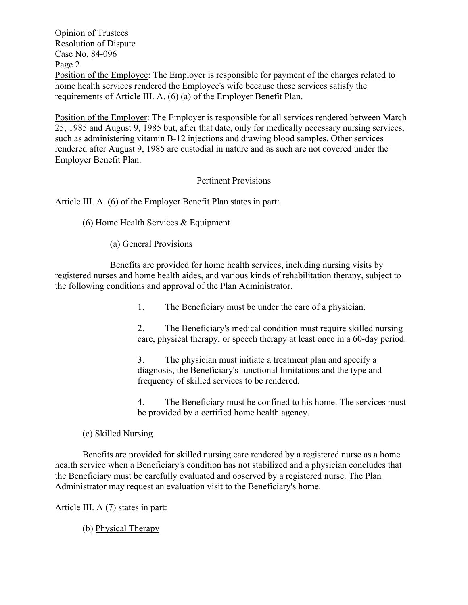Opinion of Trustees Resolution of Dispute Case No. 84-096 Page 2 Position of the Employee: The Employer is responsible for payment of the charges related to home health services rendered the Employee's wife because these services satisfy the requirements of Article III. A. (6) (a) of the Employer Benefit Plan.

Position of the Employer: The Employer is responsible for all services rendered between March 25, 1985 and August 9, 1985 but, after that date, only for medically necessary nursing services, such as administering vitamin B-12 injections and drawing blood samples. Other services rendered after August 9, 1985 are custodial in nature and as such are not covered under the Employer Benefit Plan.

# Pertinent Provisions

Article III. A. (6) of the Employer Benefit Plan states in part:

(6) Home Health Services & Equipment

(a) General Provisions

Benefits are provided for home health services, including nursing visits by registered nurses and home health aides, and various kinds of rehabilitation therapy, subject to the following conditions and approval of the Plan Administrator.

1. The Beneficiary must be under the care of a physician.

2. The Beneficiary's medical condition must require skilled nursing care, physical therapy, or speech therapy at least once in a 60-day period.

3. The physician must initiate a treatment plan and specify a diagnosis, the Beneficiary's functional limitations and the type and frequency of skilled services to be rendered.

4. The Beneficiary must be confined to his home. The services must be provided by a certified home health agency.

## (c) Skilled Nursing

Benefits are provided for skilled nursing care rendered by a registered nurse as a home health service when a Beneficiary's condition has not stabilized and a physician concludes that the Beneficiary must be carefully evaluated and observed by a registered nurse. The Plan Administrator may request an evaluation visit to the Beneficiary's home.

Article III. A (7) states in part:

(b) Physical Therapy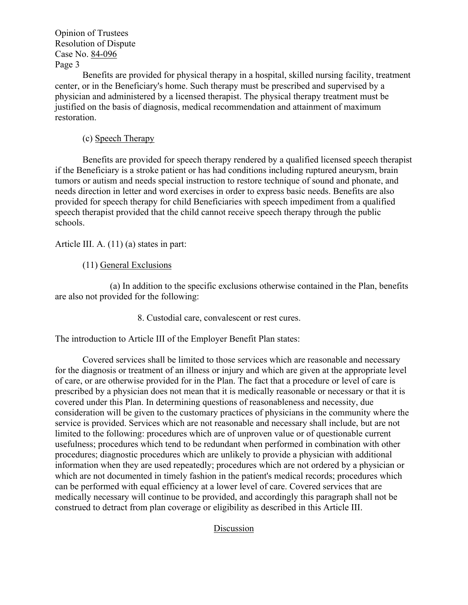Opinion of Trustees Resolution of Dispute Case No. 84-096 Page 3

Benefits are provided for physical therapy in a hospital, skilled nursing facility, treatment center, or in the Beneficiary's home. Such therapy must be prescribed and supervised by a physician and administered by a licensed therapist. The physical therapy treatment must be justified on the basis of diagnosis, medical recommendation and attainment of maximum restoration.

# (c) Speech Therapy

Benefits are provided for speech therapy rendered by a qualified licensed speech therapist if the Beneficiary is a stroke patient or has had conditions including ruptured aneurysm, brain tumors or autism and needs special instruction to restore technique of sound and phonate, and needs direction in letter and word exercises in order to express basic needs. Benefits are also provided for speech therapy for child Beneficiaries with speech impediment from a qualified speech therapist provided that the child cannot receive speech therapy through the public schools.

Article III. A. (11) (a) states in part:

# (11) General Exclusions

(a) In addition to the specific exclusions otherwise contained in the Plan, benefits are also not provided for the following:

8. Custodial care, convalescent or rest cures.

The introduction to Article III of the Employer Benefit Plan states:

Covered services shall be limited to those services which are reasonable and necessary for the diagnosis or treatment of an illness or injury and which are given at the appropriate level of care, or are otherwise provided for in the Plan. The fact that a procedure or level of care is prescribed by a physician does not mean that it is medically reasonable or necessary or that it is covered under this Plan. In determining questions of reasonableness and necessity, due consideration will be given to the customary practices of physicians in the community where the service is provided. Services which are not reasonable and necessary shall include, but are not limited to the following: procedures which are of unproven value or of questionable current usefulness; procedures which tend to be redundant when performed in combination with other procedures; diagnostic procedures which are unlikely to provide a physician with additional information when they are used repeatedly; procedures which are not ordered by a physician or which are not documented in timely fashion in the patient's medical records; procedures which can be performed with equal efficiency at a lower level of care. Covered services that are medically necessary will continue to be provided, and accordingly this paragraph shall not be construed to detract from plan coverage or eligibility as described in this Article III.

Discussion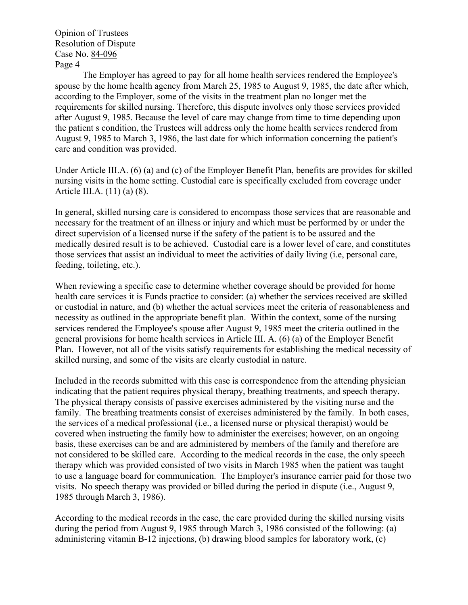Opinion of Trustees Resolution of Dispute Case No. 84-096 Page 4

The Employer has agreed to pay for all home health services rendered the Employee's spouse by the home health agency from March 25, 1985 to August 9, 1985, the date after which, according to the Employer, some of the visits in the treatment plan no longer met the requirements for skilled nursing. Therefore, this dispute involves only those services provided after August 9, 1985. Because the level of care may change from time to time depending upon the patient s condition, the Trustees will address only the home health services rendered from August 9, 1985 to March 3, 1986, the last date for which information concerning the patient's care and condition was provided.

Under Article III.A. (6) (a) and (c) of the Employer Benefit Plan, benefits are provides for skilled nursing visits in the home setting. Custodial care is specifically excluded from coverage under Article III.A. (11) (a) (8).

In general, skilled nursing care is considered to encompass those services that are reasonable and necessary for the treatment of an illness or injury and which must be performed by or under the direct supervision of a licensed nurse if the safety of the patient is to be assured and the medically desired result is to be achieved. Custodial care is a lower level of care, and constitutes those services that assist an individual to meet the activities of daily living (i.e, personal care, feeding, toileting, etc.).

When reviewing a specific case to determine whether coverage should be provided for home health care services it is Funds practice to consider: (a) whether the services received are skilled or custodial in nature, and (b) whether the actual services meet the criteria of reasonableness and necessity as outlined in the appropriate benefit plan. Within the context, some of the nursing services rendered the Employee's spouse after August 9, 1985 meet the criteria outlined in the general provisions for home health services in Article III. A. (6) (a) of the Employer Benefit Plan. However, not all of the visits satisfy requirements for establishing the medical necessity of skilled nursing, and some of the visits are clearly custodial in nature.

Included in the records submitted with this case is correspondence from the attending physician indicating that the patient requires physical therapy, breathing treatments, and speech therapy. The physical therapy consists of passive exercises administered by the visiting nurse and the family. The breathing treatments consist of exercises administered by the family. In both cases, the services of a medical professional (i.e., a licensed nurse or physical therapist) would be covered when instructing the family how to administer the exercises; however, on an ongoing basis, these exercises can be and are administered by members of the family and therefore are not considered to be skilled care. According to the medical records in the case, the only speech therapy which was provided consisted of two visits in March 1985 when the patient was taught to use a language board for communication. The Employer's insurance carrier paid for those two visits. No speech therapy was provided or billed during the period in dispute (i.e., August 9, 1985 through March 3, 1986).

According to the medical records in the case, the care provided during the skilled nursing visits during the period from August 9, 1985 through March 3, 1986 consisted of the following: (a) administering vitamin B-12 injections, (b) drawing blood samples for laboratory work, (c)